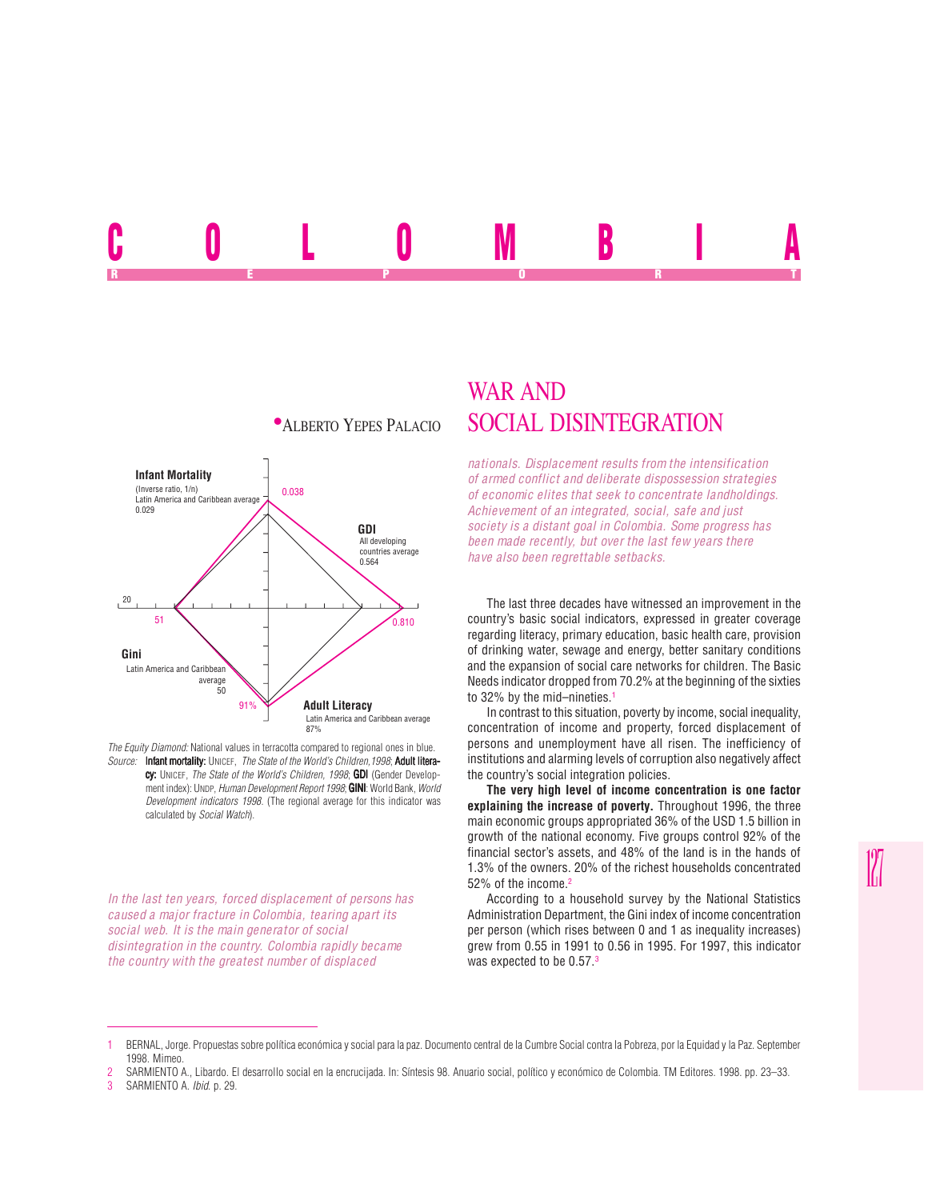## U U L U IVI D I A REPORT OF STATE REPORT OF STATE REPORT OF STATE REPORT OF STATE REPORT OF STATE REPORT OF STATE REPORT OF STATE REPORT OF STATE REPORT OF STATE REPORT OF STATE REPORT OF STATE REPORT OF STATE REPORT OF STATE REPORT OF STAT



*The Equity Diamond:* National values in terracotta compared to regional ones in blue. *Source:* Infant mortality: UNICEF, *The State of the World's Children, 1998*; Adult literacy: UNICEF, *The State of the World's Children, 1998*; GDI (Gender Development index): UNDP, *Human Development Report 1998*; **GINI**: World Bank, *World Development indicators 1998*. (The regional average for this indicator was calculated by *Social Watch*).

*In the last ten years, forced displacement of persons has caused a major fracture in Colombia, tearing apart its social web. It is the main generator of social disintegration in the country. Colombia rapidly became the country with the greatest number of displaced*

## WAR AND **\*ALBERTO YEPES PALACIO SOCIAL DISINTEGRATION**

*nationals. Displacement results from the intensification of armed conflict and deliberate dispossession strategies of economic elites that seek to concentrate landholdings. Achievement of an integrated, social, safe and just society is a distant goal in Colombia. Some progress has been made recently, but over the last few years there have also been regrettable setbacks.*

The last three decades have witnessed an improvement in the country's basic social indicators, expressed in greater coverage regarding literacy, primary education, basic health care, provision of drinking water, sewage and energy, better sanitary conditions and the expansion of social care networks for children. The Basic Needs indicator dropped from 70.2% at the beginning of the sixties to 32% by the mid-nineties.<sup>1</sup>

In contrast to this situation, poverty by income, social inequality, concentration of income and property, forced displacement of persons and unemployment have all risen. The inefficiency of institutions and alarming levels of corruption also negatively affect the country's social integration policies.

**The very high level of income concentration is one factor explaining the increase of poverty.** Throughout 1996, the three main economic groups appropriated 36% of the USD 1.5 billion in growth of the national economy. Five groups control 92% of the financial sector's assets, and 48% of the land is in the hands of 1.3% of the owners. 20% of the richest households concentrated 52% of the income.<sup>2</sup>

According to a household survey by the National Statistics Administration Department, the Gini index of income concentration per person (which rises between 0 and 1 as inequality increases) grew from 0.55 in 1991 to 0.56 in 1995. For 1997, this indicator was expected to be 0.57.<sup>3</sup>

3 SARMIENTO A. *Ibid*. p. 29.

<sup>2</sup> SARMIENTO A., Libardo. El desarrollo social en la encrucijada. In: Síntesis 98. Anuario social, político y económico de Colombia. TM Editores. 1998. pp. 23–33.<br>3 SARMIENTO A Ibid n. 29.